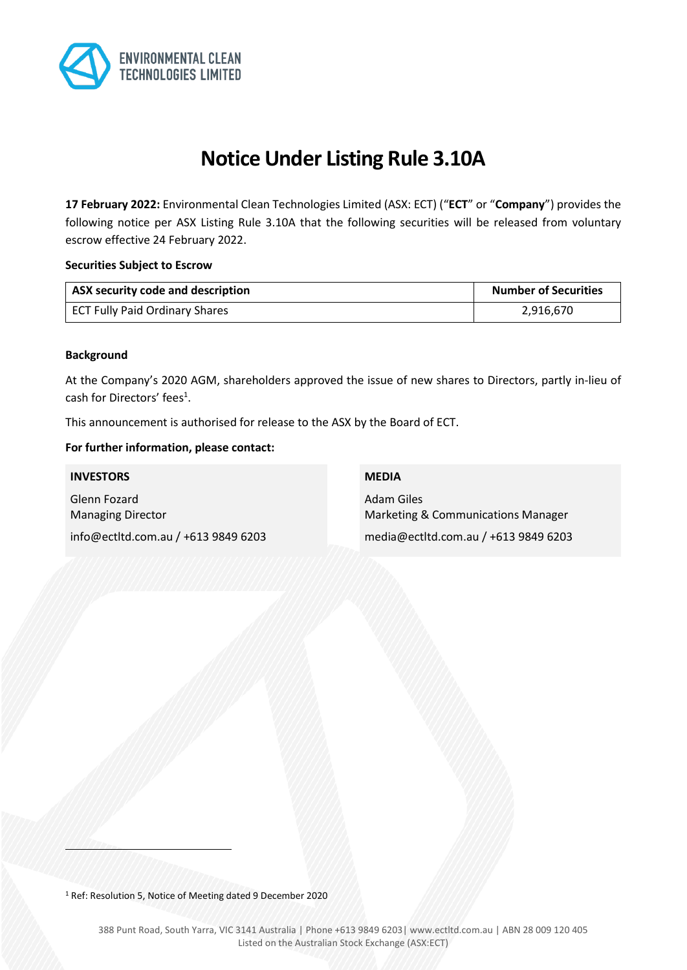

# **Notice Under Listing Rule 3.10A**

**17 February 2022:** Environmental Clean Technologies Limited (ASX: ECT) ("**ECT**" or "**Company**") provides the following notice per ASX Listing Rule 3.10A that the following securities will be released from voluntary escrow effective 24 February 2022.

#### **Securities Subject to Escrow**

| ASX security code and description | <b>Number of Securities</b> |
|-----------------------------------|-----------------------------|
| ECT Fully Paid Ordinary Shares    | 2,916,670                   |

#### **Background**

At the Company's 2020 AGM, shareholders approved the issue of new shares to Directors, partly in-lieu of cash for Directors' fees<sup>1</sup>.

This announcement is authorised for release to the ASX by the Board of ECT.

#### **For further information, please contact:**

#### **INVESTORS**

Glenn Fozard Managing Director info@ectltd.com.au / +613 9849 6203

#### **MEDIA**

Adam Giles Marketing & Communications Manager media@ectltd.com.au / +613 9849 6203

<sup>1</sup> Ref: Resolution 5, Notice of Meeting dated 9 December 2020